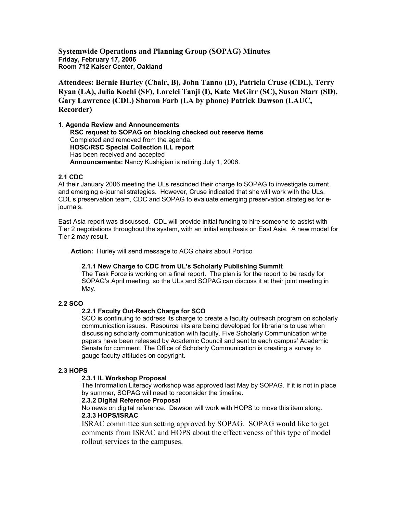**Systemwide Operations and Planning Group (SOPAG) Minutes Friday, February 17, 2006 Room 712 Kaiser Center, Oakland**

**Attendees: Bernie Hurley (Chair, B), John Tanno (D), Patricia Cruse (CDL), Terry Ryan (LA), Julia Kochi (SF), Lorelei Tanji (I), Kate McGirr (SC), Susan Starr (SD), Gary Lawrence (CDL) Sharon Farb (LA by phone) Patrick Dawson (LAUC, Recorder)**

**1. Agenda Review and Announcements RSC request to SOPAG on blocking checked out reserve items** Completed and removed from the agenda. **HOSC/RSC Special Collection ILL report** Has been received and accepted **Announcements:** Nancy Kushigian is retiring July 1, 2006.

# **2.1 CDC**

At their January 2006 meeting the ULs rescinded their charge to SOPAG to investigate current and emerging e-journal strategies. However, Cruse indicated that she will work with the ULs, CDL's preservation team, CDC and SOPAG to evaluate emerging preservation strategies for ejournals.

East Asia report was discussed. CDL will provide initial funding to hire someone to assist with Tier 2 negotiations throughout the system, with an initial emphasis on East Asia. A new model for Tier 2 may result.

**Action:** Hurley will send message to ACG chairs about Portico

## **2.1.1 New Charge to CDC from UL's Scholarly Publishing Summit**

The Task Force is working on a final report. The plan is for the report to be ready for SOPAG's April meeting, so the ULs and SOPAG can discuss it at their joint meeting in May.

# **2.2 SCO**

## **2.2.1 Faculty Out-Reach Charge for SCO**

SCO is continuing to address its charge to create a faculty outreach program on scholarly communication issues. Resource kits are being developed for librarians to use when discussing scholarly communication with faculty. Five Scholarly Communication white papers have been released by Academic Council and sent to each campus' Academic Senate for comment. The Office of Scholarly Communication is creating a survey to gauge faculty attitudes on copyright.

## **2.3 HOPS**

## **2.3.1 IL Workshop Proposal**

The Information Literacy workshop was approved last May by SOPAG. If it is not in place by summer, SOPAG will need to reconsider the timeline.

## **2.3.2 Digital Reference Proposal**

No news on digital reference. Dawson will work with HOPS to move this item along. **2.3.3 HOPS/ISRAC**

ISRAC committee sun setting approved by SOPAG. SOPAG would like to get comments from ISRAC and HOPS about the effectiveness of this type of model rollout services to the campuses.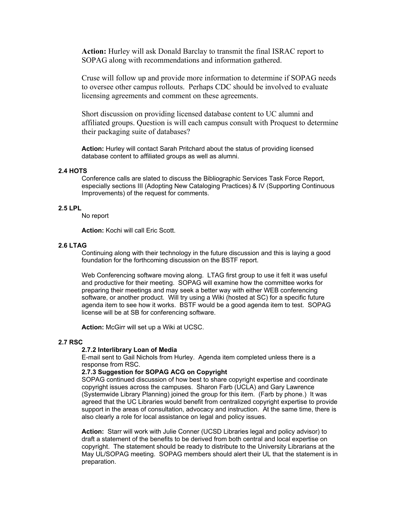**Action:** Hurley will ask Donald Barclay to transmit the final ISRAC report to SOPAG along with recommendations and information gathered.

Cruse will follow up and provide more information to determine if SOPAG needs to oversee other campus rollouts. Perhaps CDC should be involved to evaluate licensing agreements and comment on these agreements.

Short discussion on providing licensed database content to UC alumni and affiliated groups. Question is will each campus consult with Proquest to determine their packaging suite of databases?

**Action:** Hurley will contact Sarah Pritchard about the status of providing licensed database content to affiliated groups as well as alumni.

#### **2.4 HOTS**

Conference calls are slated to discuss the Bibliographic Services Task Force Report, especially sections III (Adopting New Cataloging Practices) & IV (Supporting Continuous Improvements) of the request for comments.

# **2.5 LPL**

No report

**Action:** Kochi will call Eric Scott.

## **2.6 LTAG**

Continuing along with their technology in the future discussion and this is laying a good foundation for the forthcoming discussion on the BSTF report.

Web Conferencing software moving along. LTAG first group to use it felt it was useful and productive for their meeting. SOPAG will examine how the committee works for preparing their meetings and may seek a better way with either WEB conferencing software, or another product. Will try using a Wiki (hosted at SC) for a specific future agenda item to see how it works. BSTF would be a good agenda item to test. SOPAG license will be at SB for conferencing software.

**Action:** McGirr will set up a Wiki at UCSC.

#### **2.7 RSC**

#### **2.7.2 Interlibrary Loan of Media**

E-mail sent to Gail Nichols from Hurley. Agenda item completed unless there is a response from RSC.

# **2.7.3 Suggestion for SOPAG ACG on Copyright**

SOPAG continued discussion of how best to share copyright expertise and coordinate copyright issues across the campuses. Sharon Farb (UCLA) and Gary Lawrence (Systemwide Library Planning) joined the group for this item. (Farb by phone.) It was agreed that the UC Libraries would benefit from centralized copyright expertise to provide support in the areas of consultation, advocacy and instruction. At the same time, there is also clearly a role for local assistance on legal and policy issues.

**Action:** Starr will work with Julie Conner (UCSD Libraries legal and policy advisor) to draft a statement of the benefits to be derived from both central and local expertise on copyright. The statement should be ready to distribute to the University Librarians at the May UL/SOPAG meeting. SOPAG members should alert their UL that the statement is in preparation.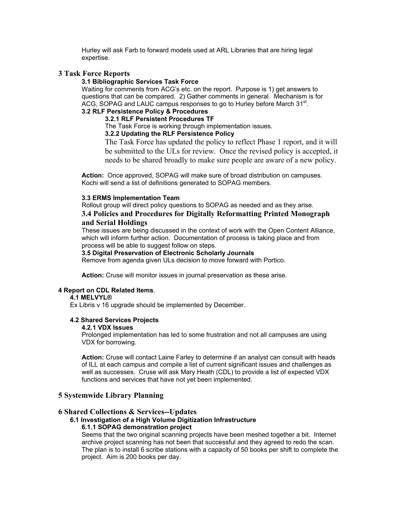Hurley will ask Farb to forward models used at ARL Libraries that are hiring legal expertise.

# **3 Task Force Reports**

# **3.1 Bibliographic Services Task Force**

Waiting for comments from ACG's etc. on the report. Purpose is 1) get answers to questions that can be compared. 2) Gather comments in general. Mechanism is for ACG, SOPAG and LAUC campus responses to go to Hurley before March  $31<sup>st</sup>$ .

# **3.2 RLF Persistence Policy & Procedures**

# **3.2.1 RLF Persistent Procedures TF**

The Task Force is working through implementation issues.

# **3.2.2 Updating the RLF Persistence Policy**

The Task Force has updated the policy to reflect Phase 1 report, and it will be submitted to the ULs for review. Once the revised policy is accepted, it needs to be shared broadly to make sure people are aware of a new policy.

**Action:** Once approved, SOPAG will make sure of broad distribution on campuses. Kochi will send a list of definitions generated to SOPAG members.

# **3.3 ERMS Implementation Team**

Rollout group will direct policy questions to SOPAG as needed and as they arise.

# **3.4 Policies and Procedures for Digitally Reformatting Printed Monograph and Serial Holdings**

These issues are being discussed in the context of work with the Open Content Alliance, which will inform further action. Documentation of process is taking place and from process will be able to suggest follow on steps.

## **3.5 Digital Preservation of Electronic Scholarly Journals**

Remove from agenda given ULs decision to move forward with Portico.

**Action:** Cruse will monitor issues in journal preservation as these arise.

## **4 Report on CDL Related Items**.

## **4.1 MELVYL®**

Ex Libris v 16 upgrade should be implemented by December.

## **4.2 Shared Services Projects**

# **4.2.1 VDX Issues**

Prolonged implementation has led to some frustration and not all campuses are using VDX for borrowing.

**Action:** Cruse will contact Laine Farley to determine if an analyst can consult with heads of ILL at each campus and compile a list of current significant issues and challenges as well as successes. Cruse will ask Mary Heath (CDL) to provide a list of expected VDX functions and services that have not yet been implemented.

# **5 Systemwide Library Planning**

# **6 Shared Collections & Services--Updates**

# **6.1 Investigation of a High Volume Digitization Infrastructure**

# **6.1.1 SOPAG demonstration project**

Seems that the two original scanning projects have been meshed together a bit. Internet archive project scanning has not been that successful and they agreed to redo the scan. The plan is to install 6 scribe stations with a capacity of 50 books per shift to complete the project. Aim is 200 books per day.